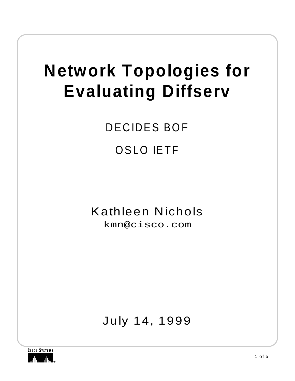## **Network Topologies for Evaluating Diffserv**

DECIDES BOF OSLO IETF

## Kathleen Nichols

kmn@cisco.com

July 14, 1999

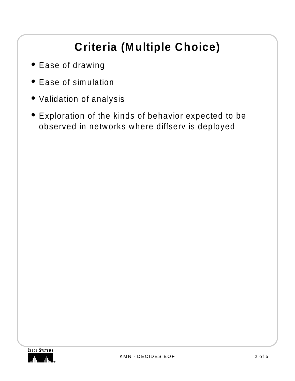## **Criteria (Multiple Choice)**

- **•** Ease of drawing
- **•** Ease of simulation
- **•** Validation of analysis
- **•** Exploration of the kinds of behavior expected to be observed in networks where diffserv is deployed

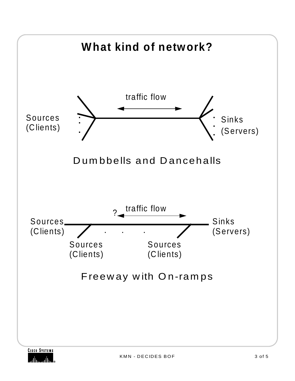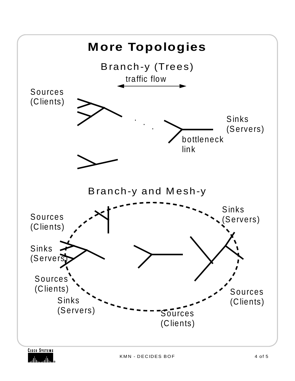